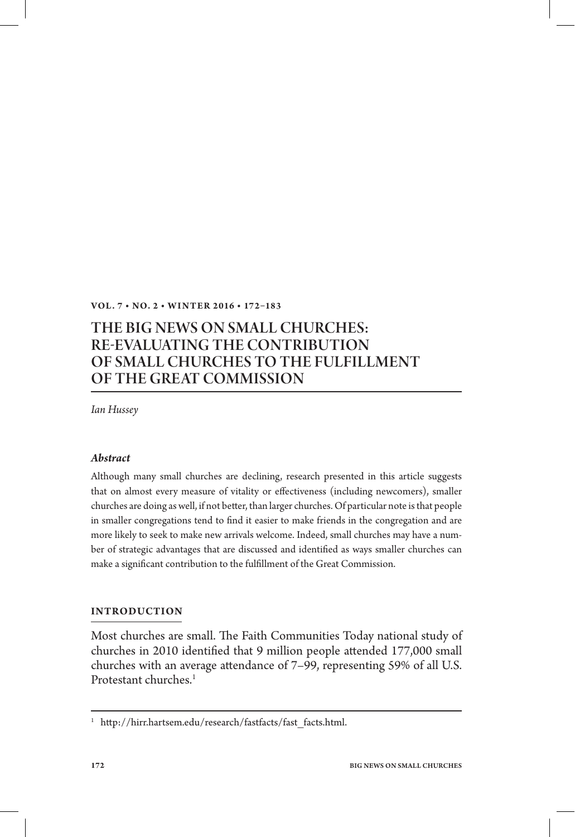## **VOL. 7 • NO. 2 • WINT ER 2 016 • 172–183**

# THE BIG NEWS ON SMALL CHURCHES: RE-EVALUATING THE CONTRIBUTION OF SMALL CHURCHES TO THE FULFILLMENT OF THE GREAT COMMISSION

*Ian Hussey*

## *Abstract*

Although many small churches are declining, research presented in this article suggests that on almost every measure of vitality or effectiveness (including newcomers), smaller churches are doing as well, if not better, than larger churches. Of particular note is that people in smaller congregations tend to find it easier to make friends in the congregation and are more likely to seek to make new arrivals welcome. Indeed, small churches may have a number of strategic advantages that are discussed and identified as ways smaller churches can make a significant contribution to the fulfillment of the Great Commission.

#### **INTRODUCTION**

Most churches are small. The Faith Communities Today national study of churches in 2010 identified that 9 million people attended 177,000 small churches with an average attendance of 7–99, representing 59% of all U.S. Protestant churches<sup>1</sup>

<sup>&</sup>lt;sup>1</sup> http://hirr.hartsem.edu/research/fastfacts/fast\_facts.html.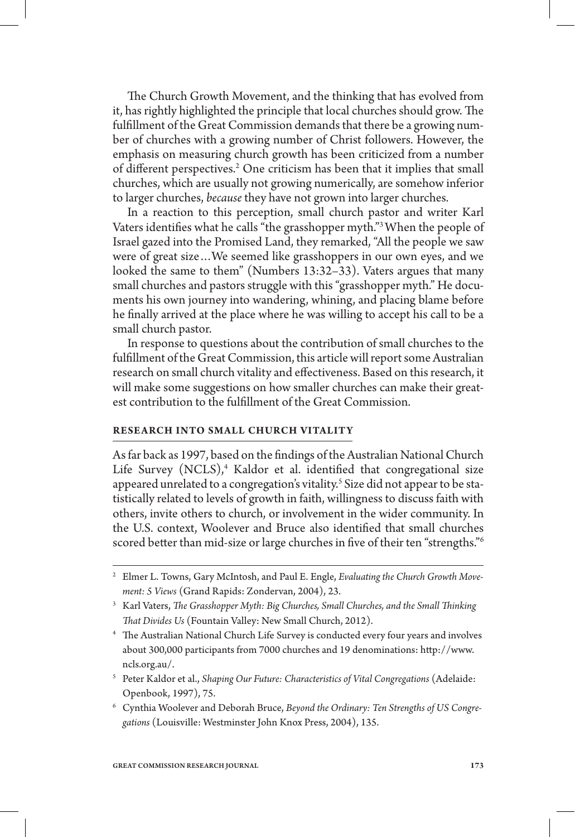The Church Growth Movement, and the thinking that has evolved from it, has rightly highlighted the principle that local churches should grow. The fulfillment of the Great Commission demands that there be a growing number of churches with a growing number of Christ followers. However, the emphasis on measuring church growth has been criticized from a number of different perspectives.<sup>2</sup> One criticism has been that it implies that small churches, which are usually not growing numerically, are somehow inferior to larger churches, *because* they have not grown into larger churches.

In a reaction to this perception, small church pastor and writer Karl Vaters identifies what he calls "the grasshopper myth." When the people of Israel gazed into the Promised Land, they remarked, "All the people we saw were of great size…We seemed like grasshoppers in our own eyes, and we looked the same to them" (Numbers 13:32–33). Vaters argues that many small churches and pastors struggle with this "grasshopper myth." He documents his own journey into wandering, whining, and placing blame before he finally arrived at the place where he was willing to accept his call to be a small church pastor.

In response to questions about the contribution of small churches to the fulllment of the Great Commission, this article will report some Australian research on small church vitality and effectiveness. Based on this research, it will make some suggestions on how smaller churches can make their greatest contribution to the fulfillment of the Great Commission.

#### **RESEARCH INTO SMALL CHURCH VITALITY**

As far back as 1997, based on the findings of the Australian National Church Life Survey (NCLS),<sup>4</sup> Kaldor et al. identified that congregational size appeared unrelated to a congregation's vitality.<sup>5</sup> Size did not appear to be statistically related to levels of growth in faith, willingness to discuss faith with others, invite others to church, or involvement in the wider community. In the U.S. context, Woolever and Bruce also identified that small churches scored better than mid-size or large churches in five of their ten "strengths."<sup>6</sup>

6 Cynthia Woolever and Deborah Bruce, *Beyond the Ordinary: Ten Strengths of US Congregations* (Louisville: Westminster John Knox Press, 2004), 135.

<sup>2</sup> Elmer L. Towns, Gary McIntosh, and Paul E. Engle, *Evaluating the Church Growth Movement: 5 Views* (Grand Rapids: Zondervan, 2004), 23.

<sup>&</sup>lt;sup>3</sup> Karl Vaters, *The Grasshopper Myth: Big Churches, Small Churches, and the Small Thinking -at Divides Us* (Fountain Valley: New Small Church, 2012).

<sup>&</sup>lt;sup>4</sup> The Australian National Church Life Survey is conducted every four years and involves about 300,000 participants from 7000 churches and 19 denominations: http://www. ncls.org.au/.

<sup>5</sup> Peter Kaldor et al., *Shaping Our Future: Characteristics of Vital Congregations* (Adelaide: Openbook, 1997), 75.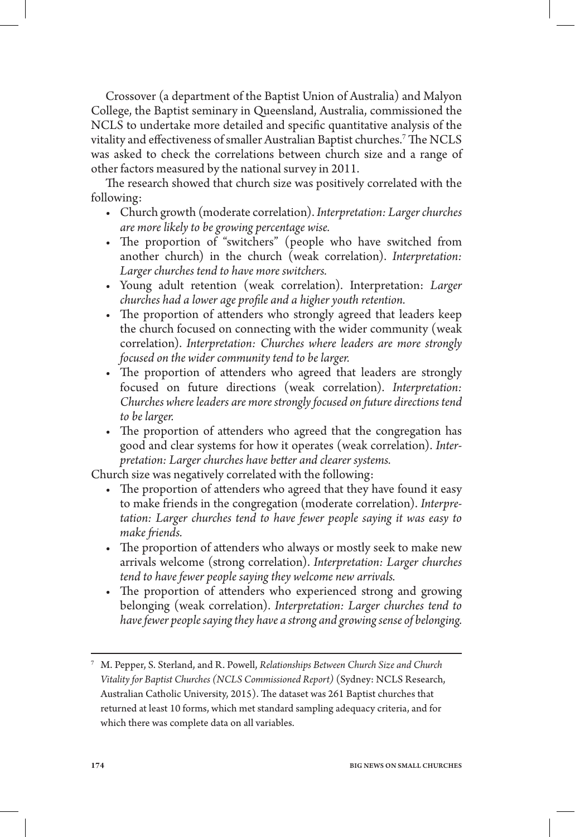Crossover (a department of the Baptist Union of Australia) and Malyon College, the Baptist seminary in Queensland, Australia, commissioned the NCLS to undertake more detailed and specific quantitative analysis of the vitality and effectiveness of smaller Australian Baptist churches.<sup>7</sup> The NCLS was asked to check the correlations between church size and a range of other factors measured by the national survey in 2011.

The research showed that church size was positively correlated with the following:

- • Church growth (moderate correlation). *Interpretation: Larger churches are more likely to be growing percentage wise.*
- The proportion of "switchers" (people who have switched from another church) in the church (weak correlation). *Interpretation: Larger churches tend to have more switchers.*
- • Young adult retention (weak correlation). Interpretation: *Larger churches had a lower age prole and a higher youth retention.*
- The proportion of attenders who strongly agreed that leaders keep the church focused on connecting with the wider community (weak correlation). *Interpretation: Churches where leaders are more strongly focused on the wider community tend to be larger.*
- The proportion of attenders who agreed that leaders are strongly focused on future directions (weak correlation). *Interpretation: Churches where leaders are more strongly focused on future directions tend to be larger.*
- The proportion of attenders who agreed that the congregation has good and clear systems for how it operates (weak correlation). *Interpretation: Larger churches have better and clearer systems.*

Church size was negatively correlated with the following:

- The proportion of attenders who agreed that they have found it easy to make friends in the congregation (moderate correlation). *Interpretation: Larger churches tend to have fewer people saying it was easy to*  make friends.
- The proportion of attenders who always or mostly seek to make new arrivals welcome (strong correlation). *Interpretation: Larger churches tend to have fewer people saying they welcome new arrivals.*
- The proportion of attenders who experienced strong and growing belonging (weak correlation). *Interpretation: Larger churches tend to have fewer people saying they have a strong and growing sense of belonging.*

<sup>7</sup> M. Pepper, S. Sterland, and R. Powell, *Relationships Between Church Size and Church Vitality for Baptist Churches (NCLS Commissioned Report)* (Sydney: NCLS Research, Australian Catholic University, 2015). The dataset was 261 Baptist churches that returned at least 10 forms, which met standard sampling adequacy criteria, and for which there was complete data on all variables.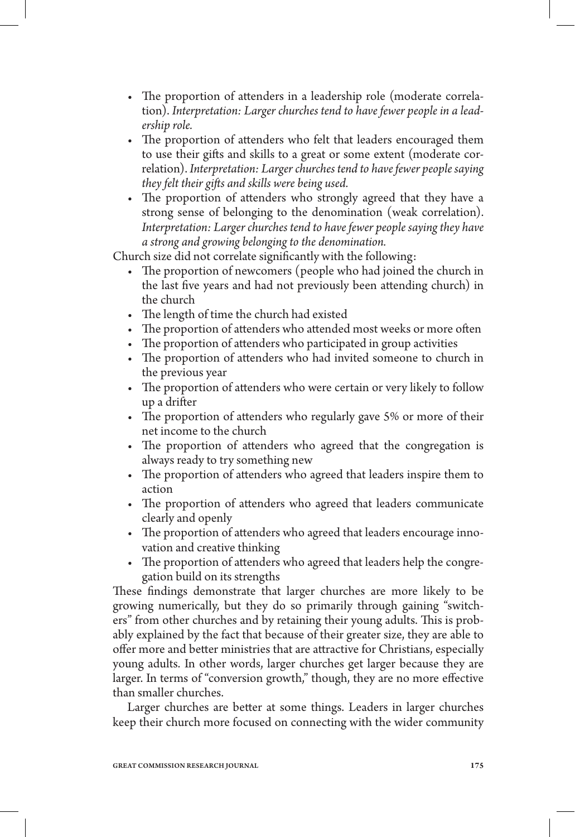- The proportion of attenders in a leadership role (moderate correlation). *Interpretation: Larger churches tend to have fewer people in a leadership role.*
- The proportion of attenders who felt that leaders encouraged them to use their gifts and skills to a great or some extent (moderate correlation). *Interpretation: Larger churches tend to have fewer people saying they felt their gifts and skills were being used.*
- The proportion of attenders who strongly agreed that they have a strong sense of belonging to the denomination (weak correlation). *Interpretation: Larger churches tend to have fewer people saying they have a strong and growing belonging to the denomination.*

Church size did not correlate significantly with the following:

- The proportion of newcomers (people who had joined the church in the last five years and had not previously been attending church) in the church
- The length of time the church had existed
- The proportion of attenders who attended most weeks or more often
- The proportion of attenders who participated in group activities
- The proportion of attenders who had invited someone to church in the previous year
- The proportion of attenders who were certain or very likely to follow up a drifter
- The proportion of attenders who regularly gave 5% or more of their net income to the church
- The proportion of attenders who agreed that the congregation is always ready to try something new
- The proportion of attenders who agreed that leaders inspire them to action
- The proportion of attenders who agreed that leaders communicate clearly and openly
- The proportion of attenders who agreed that leaders encourage innovation and creative thinking
- The proportion of attenders who agreed that leaders help the congregation build on its strengths

These findings demonstrate that larger churches are more likely to be growing numerically, but they do so primarily through gaining "switchers" from other churches and by retaining their young adults. This is probably explained by the fact that because of their greater size, they are able to offer more and better ministries that are attractive for Christians, especially young adults. In other words, larger churches get larger because they are larger. In terms of "conversion growth," though, they are no more effective than smaller churches.

Larger churches are better at some things. Leaders in larger churches keep their church more focused on connecting with the wider community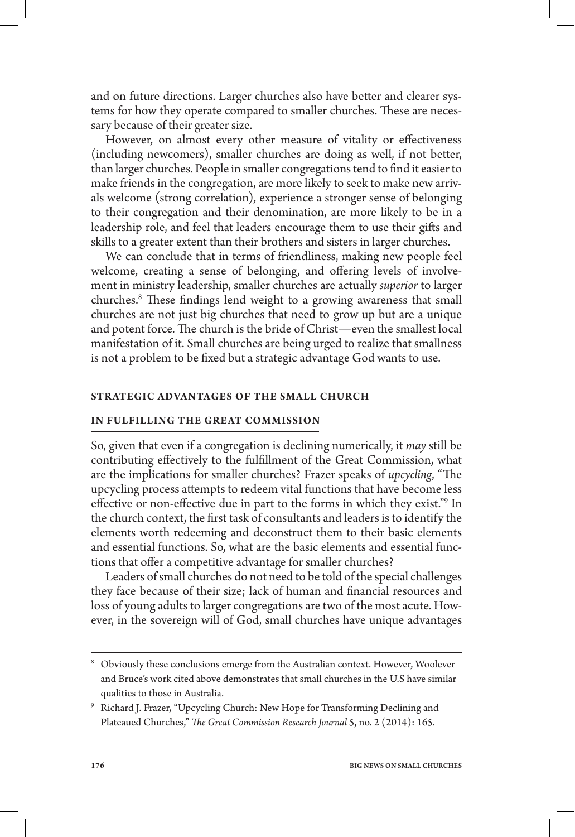and on future directions. Larger churches also have better and clearer systems for how they operate compared to smaller churches. These are necessary because of their greater size.

However, on almost every other measure of vitality or effectiveness (including newcomers), smaller churches are doing as well, if not better, than larger churches. People in smaller congregations tend to find it easier to make friends in the congregation, are more likely to seek to make new arrivals welcome (strong correlation), experience a stronger sense of belonging to their congregation and their denomination, are more likely to be in a leadership role, and feel that leaders encourage them to use their gifts and skills to a greater extent than their brothers and sisters in larger churches.

We can conclude that in terms of friendliness, making new people feel welcome, creating a sense of belonging, and offering levels of involvement in ministry leadership, smaller churches are actually *superior* to larger churches.<sup>8</sup> These findings lend weight to a growing awareness that small churches are not just big churches that need to grow up but are a unique and potent force. The church is the bride of Christ—even the smallest local manifestation of it. Small churches are being urged to realize that smallness is not a problem to be fixed but a strategic advantage God wants to use.

## **STR ATEGIC ADVANTAGES OF THE SMALL CHURCH**

#### **IN FULFILLING THE GREAT COMMISSION**

So, given that even if a congregation is declining numerically, it *may* still be contributing effectively to the fulfillment of the Great Commission, what are the implications for smaller churches? Frazer speaks of *upcycling*, "The upcycling process attempts to redeem vital functions that have become less effective or non-effective due in part to the forms in which they exist."<sup>9</sup> In the church context, the first task of consultants and leaders is to identify the elements worth redeeming and deconstruct them to their basic elements and essential functions. So, what are the basic elements and essential functions that offer a competitive advantage for smaller churches?

Leaders of small churches do not need to be told of the special challenges they face because of their size; lack of human and financial resources and loss of young adults to larger congregations are two of the most acute. However, in the sovereign will of God, small churches have unique advantages

<sup>8</sup> Obviously these conclusions emerge from the Australian context. However, Woolever and Bruce's work cited above demonstrates that small churches in the U.S have similar qualities to those in Australia.

<sup>9</sup> Richard J. Frazer, "Upcycling Church: New Hope for Transforming Declining and Plateaued Churches," *The Great Commission Research Journal 5,* no. 2 (2014): 165.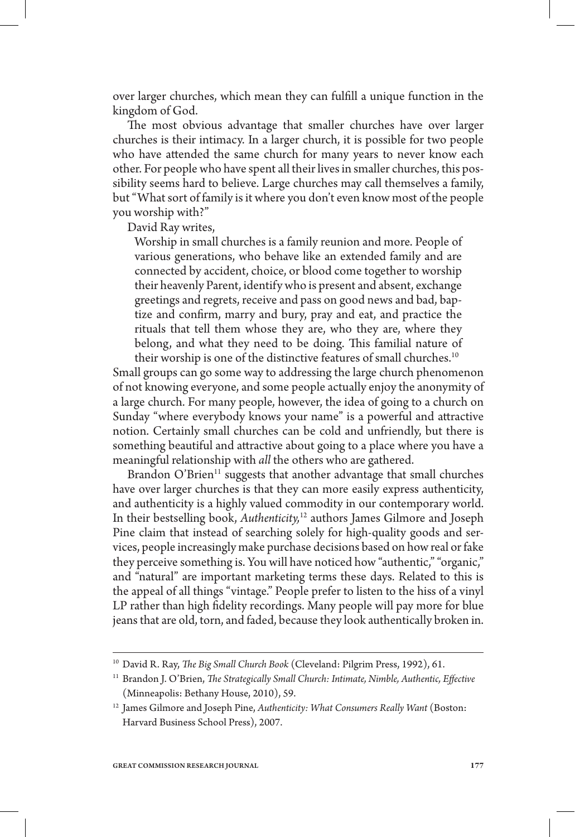over larger churches, which mean they can fulfill a unique function in the kingdom of God.

The most obvious advantage that smaller churches have over larger churches is their intimacy. In a larger church, it is possible for two people who have attended the same church for many years to never know each other. For people who have spent all their lives in smaller churches, this possibility seems hard to believe. Large churches may call themselves a family, but "What sort of family is it where you don't even know most of the people you worship with?"

David Ray writes,

Worship in small churches is a family reunion and more. People of various generations, who behave like an extended family and are connected by accident, choice, or blood come together to worship their heavenly Parent, identify who is present and absent, exchange greetings and regrets, receive and pass on good news and bad, baptize and confirm, marry and bury, pray and eat, and practice the rituals that tell them whose they are, who they are, where they belong, and what they need to be doing. This familial nature of their worship is one of the distinctive features of small churches.<sup>10</sup>

Small groups can go some way to addressing the large church phenomenon of not knowing everyone, and some people actually enjoy the anonymity of a large church. For many people, however, the idea of going to a church on Sunday "where everybody knows your name" is a powerful and attractive notion. Certainly small churches can be cold and unfriendly, but there is something beautiful and attractive about going to a place where you have a meaningful relationship with *all* the others who are gathered.

Brandon O'Brien<sup>11</sup> suggests that another advantage that small churches have over larger churches is that they can more easily express authenticity, and authenticity is a highly valued commodity in our contemporary world. In their bestselling book, *Authenticity,*12 authors James Gilmore and Joseph Pine claim that instead of searching solely for high-quality goods and services, people increasingly make purchase decisions based on how real or fake they perceive something is. You will have noticed how "authentic," "organic," and "natural" are important marketing terms these days. Related to this is the appeal of all things "vintage." People prefer to listen to the hiss of a vinyl LP rather than high fidelity recordings. Many people will pay more for blue jeans that are old, torn, and faded, because they look authentically broken in.

 $^{\scriptscriptstyle 10}$  David R. Ray, *The Big Small Church Book* (Cleveland: Pilgrim Press, 1992), 61.

<sup>&</sup>lt;sup>11</sup> Brandon J. O'Brien, *The Strategically Small Church: Intimate, Nimble, Authentic, Effective* (Minneapolis: Bethany House, 2010), 59.

<sup>12</sup> James Gilmore and Joseph Pine, *Authenticity: What Consumers Really Want* (Boston: Harvard Business School Press), 2007.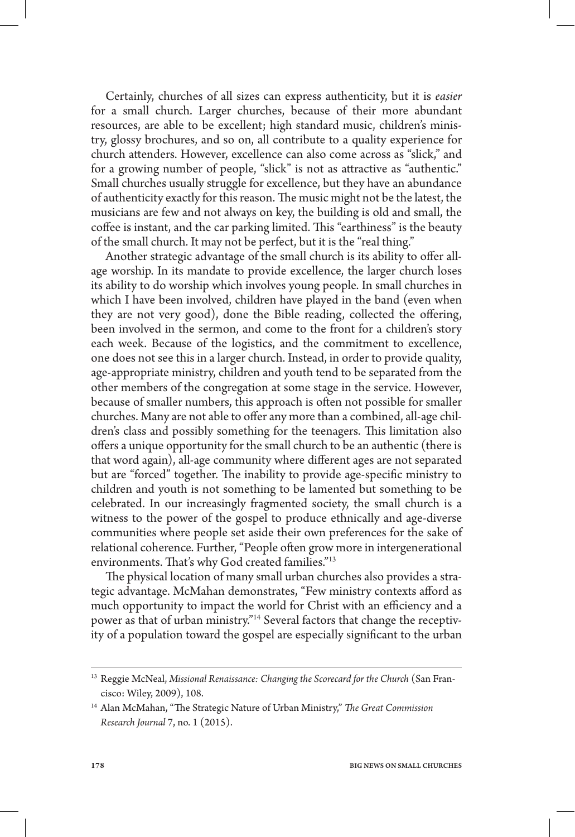Certainly, churches of all sizes can express authenticity, but it is *easier* for a small church. Larger churches, because of their more abundant resources, are able to be excellent; high standard music, children's ministry, glossy brochures, and so on, all contribute to a quality experience for church attenders. However, excellence can also come across as "slick," and for a growing number of people, "slick" is not as attractive as "authentic." Small churches usually struggle for excellence, but they have an abundance of authenticity exactly for this reason. The music might not be the latest, the musicians are few and not always on key, the building is old and small, the coffee is instant, and the car parking limited. This "earthiness" is the beauty of the small church. It may not be perfect, but it is the "real thing."

Another strategic advantage of the small church is its ability to offer allage worship. In its mandate to provide excellence, the larger church loses its ability to do worship which involves young people. In small churches in which I have been involved, children have played in the band (even when they are not very good), done the Bible reading, collected the offering, been involved in the sermon, and come to the front for a children's story each week. Because of the logistics, and the commitment to excellence, one does not see this in a larger church. Instead, in order to provide quality, age-appropriate ministry, children and youth tend to be separated from the other members of the congregation at some stage in the service. However, because of smaller numbers, this approach is often not possible for smaller churches. Many are not able to offer any more than a combined, all-age children's class and possibly something for the teenagers. This limitation also offers a unique opportunity for the small church to be an authentic (there is that word again), all-age community where different ages are not separated but are "forced" together. The inability to provide age-specific ministry to children and youth is not something to be lamented but something to be celebrated. In our increasingly fragmented society, the small church is a witness to the power of the gospel to produce ethnically and age-diverse communities where people set aside their own preferences for the sake of relational coherence. Further, "People often grow more in intergenerational environments. That's why God created families."<sup>13</sup>

The physical location of many small urban churches also provides a strategic advantage. McMahan demonstrates, "Few ministry contexts afford as much opportunity to impact the world for Christ with an efficiency and a power as that of urban ministry."14 Several factors that change the receptivity of a population toward the gospel are especially significant to the urban

<sup>13</sup> Reggie McNeal, *Missional Renaissance: Changing the Scorecard for the Church* (San Francisco: Wiley, 2009), 108.

<sup>&</sup>lt;sup>14</sup> Alan McMahan, "The Strategic Nature of Urban Ministry," The Great Commission *Research Journal* 7, no. 1 (2015).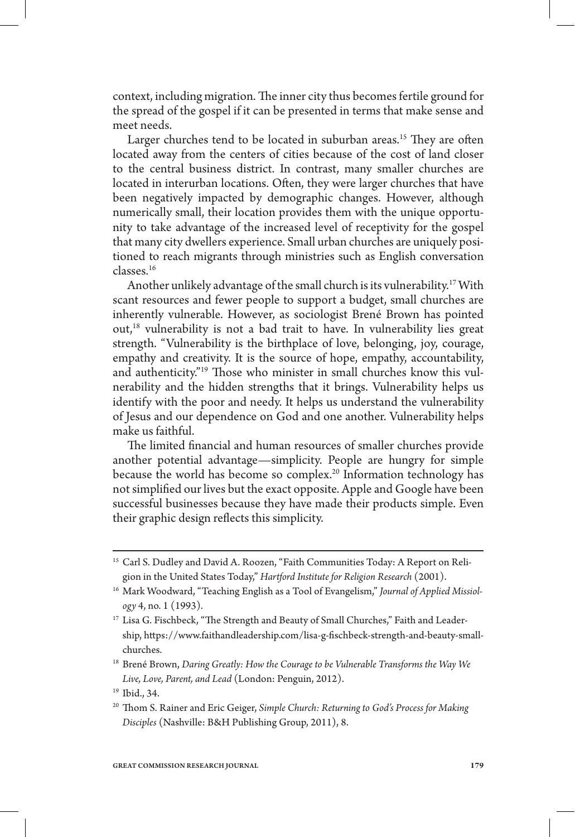context, including migration. The inner city thus becomes fertile ground for the spread of the gospel if it can be presented in terms that make sense and meet needs.

Larger churches tend to be located in suburban areas.<sup>15</sup> They are often located away from the centers of cities because of the cost of land closer to the central business district. In contrast, many smaller churches are located in interurban locations. Often, they were larger churches that have been negatively impacted by demographic changes. However, although numerically small, their location provides them with the unique opportunity to take advantage of the increased level of receptivity for the gospel that many city dwellers experience. Small urban churches are uniquely positioned to reach migrants through ministries such as English conversation classes.16

Another unlikely advantage of the small church is its vulnerability.<sup>17</sup> With scant resources and fewer people to support a budget, small churches are inherently vulnerable. However, as sociologist Brené Brown has pointed out,18 vulnerability is not a bad trait to have. In vulnerability lies great strength. "Vulnerability is the birthplace of love, belonging, joy, courage, empathy and creativity. It is the source of hope, empathy, accountability, and authenticity."<sup>19</sup> Those who minister in small churches know this vulnerability and the hidden strengths that it brings. Vulnerability helps us identify with the poor and needy. It helps us understand the vulnerability of Jesus and our dependence on God and one another. Vulnerability helps make us faithful.

The limited financial and human resources of smaller churches provide another potential advantage—simplicity. People are hungry for simple because the world has become so complex.<sup>20</sup> Information technology has not simplified our lives but the exact opposite. Apple and Google have been successful businesses because they have made their products simple. Even their graphic design reflects this simplicity.

<sup>20</sup> Thom S. Rainer and Eric Geiger, *Simple Church: Returning to God's Process for Making Disciples* (Nashville: B&H Publishing Group, 2011), 8.

<sup>&</sup>lt;sup>15</sup> Carl S. Dudley and David A. Roozen, "Faith Communities Today: A Report on Religion in the United States Today," *Hartford Institute for Religion Research* (2001).

<sup>&</sup>lt;sup>16</sup> Mark Woodward, "Teaching English as a Tool of Evangelism," Journal of Applied Missiol*ogy* 4, no. 1 (1993).

<sup>&</sup>lt;sup>17</sup> Lisa G. Fischbeck, "The Strength and Beauty of Small Churches," Faith and Leadership, https://www.faithandleadership.com/lisa-g-fischbeck-strength-and-beauty-smallchurches.

<sup>18</sup> Brené Brown, *Daring Greatly: How the Courage to be Vulnerable Transforms the Way We Live, Love, Parent, and Lead* (London: Penguin, 2012).

<sup>19</sup> Ibid., 34.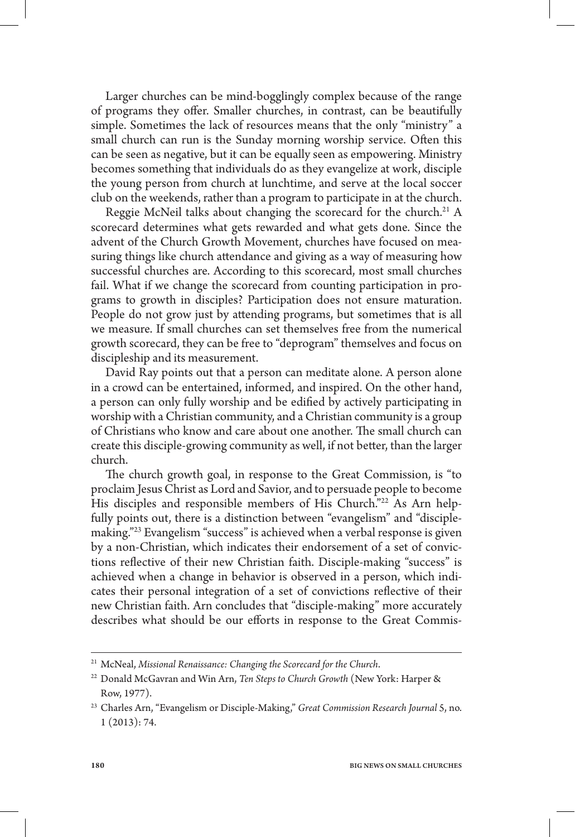Larger churches can be mind-bogglingly complex because of the range of programs they offer. Smaller churches, in contrast, can be beautifully simple. Sometimes the lack of resources means that the only "ministry" a small church can run is the Sunday morning worship service. Often this can be seen as negative, but it can be equally seen as empowering. Ministry becomes something that individuals do as they evangelize at work, disciple the young person from church at lunchtime, and serve at the local soccer club on the weekends, rather than a program to participate in at the church.

Reggie McNeil talks about changing the scorecard for the church.<sup>21</sup> A scorecard determines what gets rewarded and what gets done. Since the advent of the Church Growth Movement, churches have focused on measuring things like church attendance and giving as a way of measuring how successful churches are. According to this scorecard, most small churches fail. What if we change the scorecard from counting participation in programs to growth in disciples? Participation does not ensure maturation. People do not grow just by attending programs, but sometimes that is all we measure. If small churches can set themselves free from the numerical growth scorecard, they can be free to "deprogram" themselves and focus on discipleship and its measurement.

David Ray points out that a person can meditate alone. A person alone in a crowd can be entertained, informed, and inspired. On the other hand, a person can only fully worship and be edified by actively participating in worship with a Christian community, and a Christian community is a group of Christians who know and care about one another. The small church can create this disciple-growing community as well, if not better, than the larger church.

The church growth goal, in response to the Great Commission, is "to proclaim Jesus Christ as Lord and Savior, and to persuade people to become His disciples and responsible members of His Church."<sup>22</sup> As Arn helpfully points out, there is a distinction between "evangelism" and "disciplemaking."23 Evangelism "success" is achieved when a verbal response is given by a non-Christian, which indicates their endorsement of a set of convictions reflective of their new Christian faith. Disciple-making "success" is achieved when a change in behavior is observed in a person, which indicates their personal integration of a set of convictions reflective of their new Christian faith. Arn concludes that "disciple-making" more accurately describes what should be our efforts in response to the Great Commis-

<sup>21</sup> McNeal, *Missional Renaissance: Changing the Scorecard for the Church*.

<sup>22</sup> Donald McGavran and Win Arn, *Ten Steps to Church Growth* (New York: Harper & Row, 1977).

<sup>23</sup> Charles Arn, "Evangelism or Disciple-Making," *Great Commission Research Journal* 5, no. 1 (2013): 74.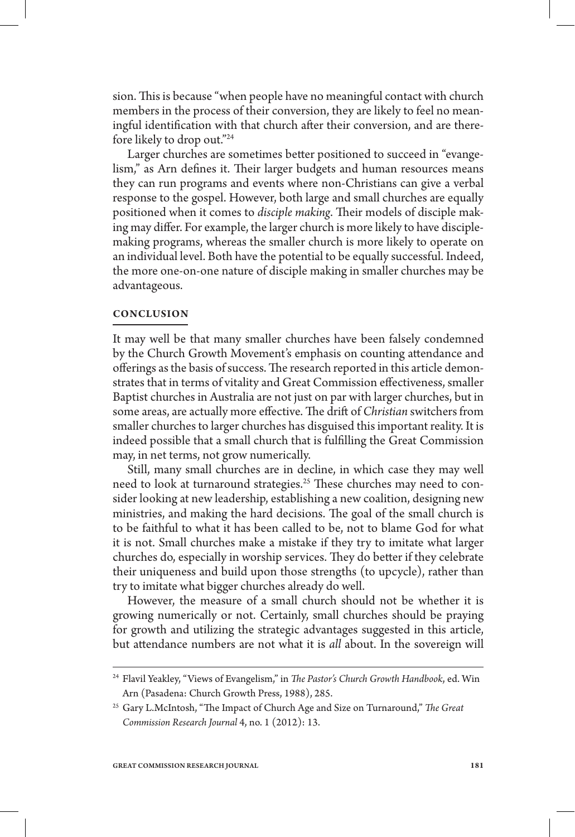sion. This is because "when people have no meaningful contact with church members in the process of their conversion, they are likely to feel no meaningful identification with that church after their conversion, and are therefore likely to drop out."24

Larger churches are sometimes better positioned to succeed in "evangelism," as Arn defines it. Their larger budgets and human resources means they can run programs and events where non-Christians can give a verbal response to the gospel. However, both large and small churches are equally positioned when it comes to *disciple making*. Their models of disciple making may differ. For example, the larger church is more likely to have disciplemaking programs, whereas the smaller church is more likely to operate on an individual level. Both have the potential to be equally successful. Indeed, the more one-on-one nature of disciple making in smaller churches may be advantageous.

## **CONCLUSION**

It may well be that many smaller churches have been falsely condemned by the Church Growth Movement's emphasis on counting attendance and offerings as the basis of success. The research reported in this article demonstrates that in terms of vitality and Great Commission effectiveness, smaller Baptist churches in Australia are not just on par with larger churches, but in some areas, are actually more effective. The drift of *Christian* switchers from smaller churches to larger churches has disguised this important reality. It is indeed possible that a small church that is fullling the Great Commission may, in net terms, not grow numerically.

Still, many small churches are in decline, in which case they may well need to look at turnaround strategies.<sup>25</sup> These churches may need to consider looking at new leadership, establishing a new coalition, designing new ministries, and making the hard decisions. The goal of the small church is to be faithful to what it has been called to be, not to blame God for what it is not. Small churches make a mistake if they try to imitate what larger churches do, especially in worship services. They do better if they celebrate their uniqueness and build upon those strengths (to upcycle), rather than try to imitate what bigger churches already do well.

However, the measure of a small church should not be whether it is growing numerically or not. Certainly, small churches should be praying for growth and utilizing the strategic advantages suggested in this article, but attendance numbers are not what it is *all* about. In the sovereign will

<sup>&</sup>lt;sup>24</sup> Flavil Yeakley, "Views of Evangelism," in *The Pastor's Church Growth Handbook,* ed. Win Arn (Pasadena: Church Growth Press, 1988), 285.

<sup>&</sup>lt;sup>25</sup> Gary L.McIntosh, "The Impact of Church Age and Size on Turnaround," *The Great Commission Research Journal* 4, no. 1 (2012): 13.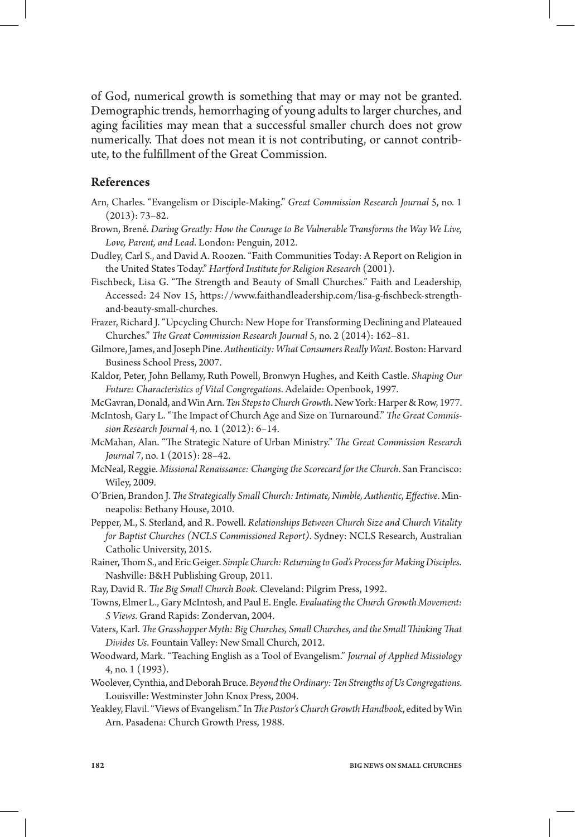of God, numerical growth is something that may or may not be granted. Demographic trends, hemorrhaging of young adults to larger churches, and aging facilities may mean that a successful smaller church does not grow numerically. That does not mean it is not contributing, or cannot contribute, to the fulllment of the Great Commission.

## **References**

- Arn, Charles. "Evangelism or Disciple-Making." *Great Commission Research Journal* 5, no. 1 (2013): 73–82.
- Brown, Brené. *Daring Greatly: How the Courage to Be Vulnerable Transforms the Way We Live, Love, Parent, and Lead*. London: Penguin, 2012.
- Dudley, Carl S., and David A. Roozen. "Faith Communities Today: A Report on Religion in the United States Today." *Hartford Institute for Religion Research* (2001).
- Fischbeck, Lisa G. "The Strength and Beauty of Small Churches." Faith and Leadership, Accessed: 24 Nov 15, https://www.faithandleadership.com/lisa-g-fischbeck-strengthand-beauty-small-churches.
- Frazer, Richard J. "Upcycling Church: New Hope for Transforming Declining and Plateaued Churches." *-e Great Commission Research Journal* 5, no. 2 (2014): 162–81.
- Gilmore, James, and Joseph Pine. *Authenticity: What Consumers Really Want*. Boston: Harvard Business School Press, 2007.
- Kaldor, Peter, John Bellamy, Ruth Powell, Bronwyn Hughes, and Keith Castle. *Shaping Our Future: Characteristics of Vital Congregations*. Adelaide: Openbook, 1997.

McGavran, Donald, and Win Arn. *Ten Steps to Church Growth*. New York: Harper & Row, 1977.

- McIntosh, Gary L. "The Impact of Church Age and Size on Turnaround." *The Great Commission Research Journal* 4, no. 1 (2012): 6–14.
- McMahan, Alan. "The Strategic Nature of Urban Ministry." *The Great Commission Research Journal* 7, no. 1 (2015): 28–42.
- McNeal, Reggie. *Missional Renaissance: Changing the Scorecard for the Church*. San Francisco: Wiley, 2009.
- O'Brien, Brandon J. *The Strategically Small Church: Intimate, Nimble, Authentic, Effective. M*inneapolis: Bethany House, 2010.
- Pepper, M., S. Sterland, and R. Powell. *Relationships Between Church Size and Church Vitality for Baptist Churches (NCLS Commissioned Report)*. Sydney: NCLS Research, Australian Catholic University, 2015.
- Rainer, Thom S., and Eric Geiger. Simple Church: Returning to God's Process for Making Disciples. Nashville: B&H Publishing Group, 2011.
- Ray, David R. *The Big Small Church Book. C*leveland: Pilgrim Press, 1992.
- Towns, Elmer L., Gary McIntosh, and Paul E. Engle. *Evaluating the Church Growth Movement: 5 Views*. Grand Rapids: Zondervan, 2004.
- Vaters, Karl. *The Grasshopper Myth: Big Churches, Small Churches, and the Small Thinking That Divides Us*. Fountain Valley: New Small Church, 2012.
- Woodward, Mark. "Teaching English as a Tool of Evangelism." *Journal of Applied Missiology*  4, no. 1 (1993).
- Woolever, Cynthia, and Deborah Bruce. *Beyond the Ordinary: Ten Strengths of Us Congregations*. Louisville: Westminster John Knox Press, 2004.
- Yeakley, Flavil. "Views of Evangelism." In *The Pastor's Church Growth Handbook,* edited by Win Arn. Pasadena: Church Growth Press, 1988.